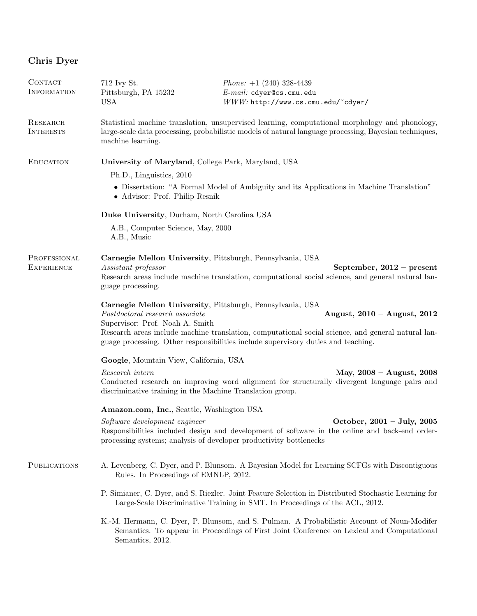| CONTACT<br><b>INFORMATION</b>     | 712 Ivy St.<br>Pittsburgh, PA 15232<br><b>USA</b>                                                                                                                                                                                          | <i>Phone:</i> $+1$ (240) 328-4439<br>E-mail: cdyer@cs.cmu.edu<br>WWW: http://www.cs.cmu.edu/~cdyer/                                                                                                  |
|-----------------------------------|--------------------------------------------------------------------------------------------------------------------------------------------------------------------------------------------------------------------------------------------|------------------------------------------------------------------------------------------------------------------------------------------------------------------------------------------------------|
| RESEARCH<br><b>INTERESTS</b>      | Statistical machine translation, unsupervised learning, computational morphology and phonology,<br>large-scale data processing, probabilistic models of natural language processing, Bayesian techniques,<br>machine learning.             |                                                                                                                                                                                                      |
| <b>EDUCATION</b>                  | University of Maryland, College Park, Maryland, USA                                                                                                                                                                                        |                                                                                                                                                                                                      |
|                                   | Ph.D., Linguistics, 2010                                                                                                                                                                                                                   |                                                                                                                                                                                                      |
|                                   | • Dissertation: "A Formal Model of Ambiguity and its Applications in Machine Translation"<br>• Advisor: Prof. Philip Resnik                                                                                                                |                                                                                                                                                                                                      |
|                                   | Duke University, Durham, North Carolina USA                                                                                                                                                                                                |                                                                                                                                                                                                      |
|                                   | A.B., Computer Science, May, 2000<br>A.B., Music                                                                                                                                                                                           |                                                                                                                                                                                                      |
| PROFESSIONAL<br><b>EXPERIENCE</b> | Carnegie Mellon University, Pittsburgh, Pennsylvania, USA<br>Assistant professor<br>September, $2012$ – present<br>Research areas include machine translation, computational social science, and general natural lan-<br>guage processing. |                                                                                                                                                                                                      |
|                                   | Carnegie Mellon University, Pittsburgh, Pennsylvania, USA<br>Postdoctoral research associate<br>Supervisor: Prof. Noah A. Smith                                                                                                            | August, $2010 -$ August, $2012$                                                                                                                                                                      |
|                                   | Research areas include machine translation, computational social science, and general natural lan-<br>guage processing. Other responsibilities include supervisory duties and teaching.                                                    |                                                                                                                                                                                                      |
|                                   | Google, Mountain View, California, USA                                                                                                                                                                                                     |                                                                                                                                                                                                      |
|                                   | Research intern<br>discriminative training in the Machine Translation group.                                                                                                                                                               | May, $2008 - August$ , $2008$<br>Conducted research on improving word alignment for structurally divergent language pairs and                                                                        |
|                                   | Amazon.com, Inc., Seattle, Washington USA                                                                                                                                                                                                  |                                                                                                                                                                                                      |
|                                   | Software development engineer                                                                                                                                                                                                              | October, $2001 - July, 2005$<br>Responsibilities included design and development of software in the online and back-end order-<br>processing systems; analysis of developer productivity bottlenecks |
| <b>PUBLICATIONS</b>               | A. Levenberg, C. Dyer, and P. Blunsom. A Bayesian Model for Learning SCFGs with Discontiguous<br>Rules. In Proceedings of EMNLP, 2012.                                                                                                     |                                                                                                                                                                                                      |
|                                   | P. Simianer, C. Dyer, and S. Riezler. Joint Feature Selection in Distributed Stochastic Learning for<br>Large-Scale Discriminative Training in SMT. In Proceedings of the ACL, 2012.                                                       |                                                                                                                                                                                                      |
|                                   | K.-M. Hermann, C. Dyer, P. Blunsom, and S. Pulman. A Probabilistic Account of Noun-Modifer<br>Semantics. To appear in Proceedings of First Joint Conference on Lexical and Computational<br>Semantics, 2012.                               |                                                                                                                                                                                                      |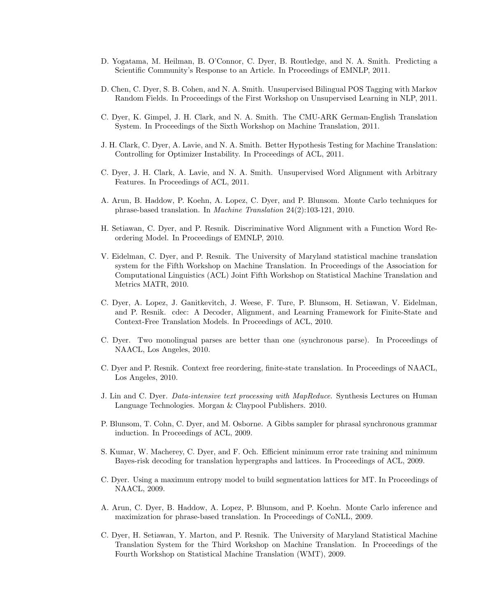- D. Yogatama, M. Heilman, B. O'Connor, C. Dyer, B. Routledge, and N. A. Smith. Predicting a Scientific Community's Response to an Article. In Proceedings of EMNLP, 2011.
- D. Chen, C. Dyer, S. B. Cohen, and N. A. Smith. Unsupervised Bilingual POS Tagging with Markov Random Fields. In Proceedings of the First Workshop on Unsupervised Learning in NLP, 2011.
- C. Dyer, K. Gimpel, J. H. Clark, and N. A. Smith. The CMU-ARK German-English Translation System. In Proceedings of the Sixth Workshop on Machine Translation, 2011.
- J. H. Clark, C. Dyer, A. Lavie, and N. A. Smith. Better Hypothesis Testing for Machine Translation: Controlling for Optimizer Instability. In Proceedings of ACL, 2011.
- C. Dyer, J. H. Clark, A. Lavie, and N. A. Smith. Unsupervised Word Alignment with Arbitrary Features. In Proceedings of ACL, 2011.
- A. Arun, B. Haddow, P. Koehn, A. Lopez, C. Dyer, and P. Blunsom. Monte Carlo techniques for phrase-based translation. In Machine Translation 24(2):103-121, 2010.
- H. Setiawan, C. Dyer, and P. Resnik. Discriminative Word Alignment with a Function Word Reordering Model. In Proceedings of EMNLP, 2010.
- V. Eidelman, C. Dyer, and P. Resnik. The University of Maryland statistical machine translation system for the Fifth Workshop on Machine Translation. In Proceedings of the Association for Computational Linguistics (ACL) Joint Fifth Workshop on Statistical Machine Translation and Metrics MATR, 2010.
- C. Dyer, A. Lopez, J. Ganitkevitch, J. Weese, F. Ture, P. Blunsom, H. Setiawan, V. Eidelman, and P. Resnik. cdec: A Decoder, Alignment, and Learning Framework for Finite-State and Context-Free Translation Models. In Proceedings of ACL, 2010.
- C. Dyer. Two monolingual parses are better than one (synchronous parse). In Proceedings of NAACL, Los Angeles, 2010.
- C. Dyer and P. Resnik. Context free reordering, finite-state translation. In Proceedings of NAACL, Los Angeles, 2010.
- J. Lin and C. Dyer. Data-intensive text processing with MapReduce. Synthesis Lectures on Human Language Technologies. Morgan & Claypool Publishers. 2010.
- P. Blunsom, T. Cohn, C. Dyer, and M. Osborne. A Gibbs sampler for phrasal synchronous grammar induction. In Proceedings of ACL, 2009.
- S. Kumar, W. Macherey, C. Dyer, and F. Och. Efficient minimum error rate training and minimum Bayes-risk decoding for translation hypergraphs and lattices. In Proceedings of ACL, 2009.
- C. Dyer. Using a maximum entropy model to build segmentation lattices for MT. In Proceedings of NAACL, 2009.
- A. Arun, C. Dyer, B. Haddow, A. Lopez, P. Blunsom, and P. Koehn. Monte Carlo inference and maximization for phrase-based translation. In Proceedings of CoNLL, 2009.
- C. Dyer, H. Setiawan, Y. Marton, and P. Resnik. The University of Maryland Statistical Machine Translation System for the Third Workshop on Machine Translation. In Proceedings of the Fourth Workshop on Statistical Machine Translation (WMT), 2009.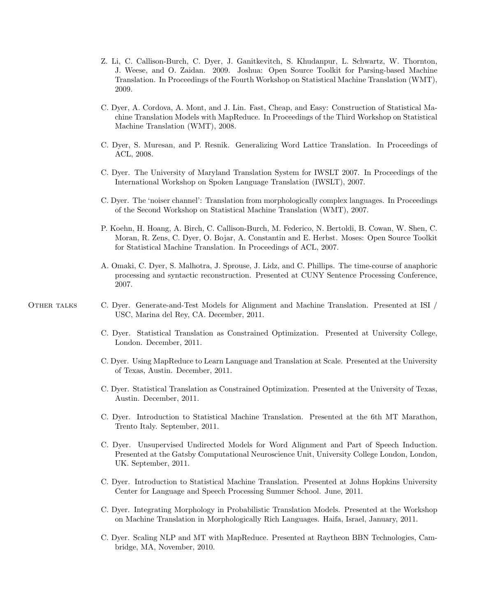- Z. Li, C. Callison-Burch, C. Dyer, J. Ganitkevitch, S. Khudanpur, L. Schwartz, W. Thornton, J. Weese, and O. Zaidan. 2009. Joshua: Open Source Toolkit for Parsing-based Machine Translation. In Proceedings of the Fourth Workshop on Statistical Machine Translation (WMT), 2009.
- C. Dyer, A. Cordova, A. Mont, and J. Lin. Fast, Cheap, and Easy: Construction of Statistical Machine Translation Models with MapReduce. In Proceedings of the Third Workshop on Statistical Machine Translation (WMT), 2008.
- C. Dyer, S. Muresan, and P. Resnik. Generalizing Word Lattice Translation. In Proceedings of ACL, 2008.
- C. Dyer. The University of Maryland Translation System for IWSLT 2007. In Proceedings of the International Workshop on Spoken Language Translation (IWSLT), 2007.
- C. Dyer. The 'noiser channel': Translation from morphologically complex languages. In Proceedings of the Second Workshop on Statistical Machine Translation (WMT), 2007.
- P. Koehn, H. Hoang, A. Birch, C. Callison-Burch, M. Federico, N. Bertoldi, B. Cowan, W. Shen, C. Moran, R. Zens, C. Dyer, O. Bojar, A. Constantin and E. Herbst. Moses: Open Source Toolkit for Statistical Machine Translation. In Proceedings of ACL, 2007.
- A. Omaki, C. Dyer, S. Malhotra, J. Sprouse, J. Lidz, and C. Phillips. The time-course of anaphoric processing and syntactic reconstruction. Presented at CUNY Sentence Processing Conference, 2007.
- Other talks C. Dyer. Generate-and-Test Models for Alignment and Machine Translation. Presented at ISI / USC, Marina del Rey, CA. December, 2011.
	- C. Dyer. Statistical Translation as Constrained Optimization. Presented at University College, London. December, 2011.
	- C. Dyer. Using MapReduce to Learn Language and Translation at Scale. Presented at the University of Texas, Austin. December, 2011.
	- C. Dyer. Statistical Translation as Constrained Optimization. Presented at the University of Texas, Austin. December, 2011.
	- C. Dyer. Introduction to Statistical Machine Translation. Presented at the 6th MT Marathon, Trento Italy. September, 2011.
	- C. Dyer. Unsupervised Undirected Models for Word Alignment and Part of Speech Induction. Presented at the Gatsby Computational Neuroscience Unit, University College London, London, UK. September, 2011.
	- C. Dyer. Introduction to Statistical Machine Translation. Presented at Johns Hopkins University Center for Language and Speech Processing Summer School. June, 2011.
	- C. Dyer. Integrating Morphology in Probabilistic Translation Models. Presented at the Workshop on Machine Translation in Morphologically Rich Languages. Haifa, Israel, January, 2011.
	- C. Dyer. Scaling NLP and MT with MapReduce. Presented at Raytheon BBN Technologies, Cambridge, MA, November, 2010.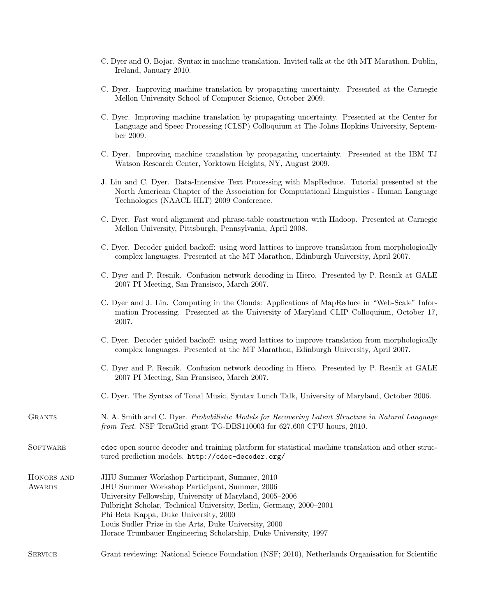- C. Dyer and O. Bojar. Syntax in machine translation. Invited talk at the 4th MT Marathon, Dublin, Ireland, January 2010.
- C. Dyer. Improving machine translation by propagating uncertainty. Presented at the Carnegie Mellon University School of Computer Science, October 2009.
- C. Dyer. Improving machine translation by propagating uncertainty. Presented at the Center for Language and Speec Processing (CLSP) Colloquium at The Johns Hopkins University, September 2009.
- C. Dyer. Improving machine translation by propagating uncertainty. Presented at the IBM TJ Watson Research Center, Yorktown Heights, NY, August 2009.
- J. Lin and C. Dyer. Data-Intensive Text Processing with MapReduce. Tutorial presented at the North American Chapter of the Association for Computational Linguistics - Human Language Technologies (NAACL HLT) 2009 Conference.
- C. Dyer. Fast word alignment and phrase-table construction with Hadoop. Presented at Carnegie Mellon University, Pittsburgh, Pennsylvania, April 2008.
- C. Dyer. Decoder guided backoff: using word lattices to improve translation from morphologically complex languages. Presented at the MT Marathon, Edinburgh University, April 2007.
- C. Dyer and P. Resnik. Confusion network decoding in Hiero. Presented by P. Resnik at GALE 2007 PI Meeting, San Fransisco, March 2007.
- C. Dyer and J. Lin. Computing in the Clouds: Applications of MapReduce in "Web-Scale" Information Processing. Presented at the University of Maryland CLIP Colloquium, October 17, 2007.
- C. Dyer. Decoder guided backoff: using word lattices to improve translation from morphologically complex languages. Presented at the MT Marathon, Edinburgh University, April 2007.
- C. Dyer and P. Resnik. Confusion network decoding in Hiero. Presented by P. Resnik at GALE 2007 PI Meeting, San Fransisco, March 2007.
- C. Dyer. The Syntax of Tonal Music, Syntax Lunch Talk, University of Maryland, October 2006.

## GRANTS N. A. Smith and C. Dyer. Probabilistic Models for Recovering Latent Structure in Natural Language from Text. NSF TeraGrid grant TG-DBS110003 for 627,600 CPU hours, 2010.

SOFTWARE cdec open source decoder and training platform for statistical machine translation and other structured prediction models. http://cdec-decoder.org/

- Honors and **AWARDS** JHU Summer Workshop Participant, Summer, 2010 JHU Summer Workshop Participant, Summer, 2006 University Fellowship, University of Maryland, 2005–2006 Fulbright Scholar, Technical University, Berlin, Germany, 2000–2001 Phi Beta Kappa, Duke University, 2000 Louis Sudler Prize in the Arts, Duke University, 2000 Horace Trumbauer Engineering Scholarship, Duke University, 1997
- Service Grant reviewing: National Science Foundation (NSF; 2010), Netherlands Organisation for Scientific